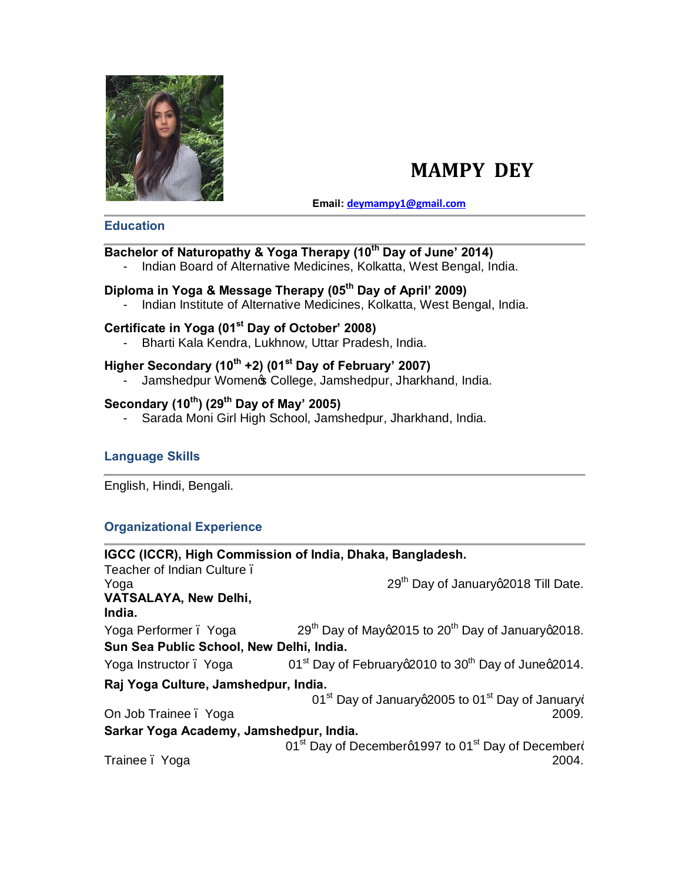

# **MAMPY DEY**

**Email: [deymampy1@gmail.com](mailto:deymampy1@gmail.com)**

#### **Education**

# **Bachelor of Naturopathy & Yoga Therapy (10th Day of June' 2014)**

- Indian Board of Alternative Medicines, Kolkatta, West Bengal, India.

### **Diploma in Yoga & Message Therapy (05th Day of April' 2009)**

- Indian Institute of Alternative Medicines, Kolkatta, West Bengal, India.

# **Certificate in Yoga (01st Day of October' 2008)**

- Bharti Kala Kendra, Lukhnow, Uttar Pradesh, India.

### **Higher Secondary (10th +2) (01st Day of February' 2007)**

- Jamshedpur Womenos College, Jamshedpur, Jharkhand, India.

# **Secondary (10th) (29th Day of May' 2005)**

- Sarada Moni Girl High School, Jamshedpur, Jharkhand, India.

### **Language Skills**

English, Hindi, Bengali.

### **Organizational Experience**

| IGCC (ICCR), High Commission of India, Dhaka, Bangladesh. |                                                                                 |
|-----------------------------------------------------------|---------------------------------------------------------------------------------|
| Teacher of Indian Culture.                                |                                                                                 |
| Yoga                                                      | 29 <sup>th</sup> Day of Januaryq2018 Till Date.                                 |
| VATSALAYA, New Delhi,<br>India.                           |                                                                                 |
| Yoga Performer. Yoga                                      | 29 <sup>th</sup> Day of Mayq2015 to 20 <sup>th</sup> Day of Januaryq2018.       |
| Sun Sea Public School, New Delhi, India.                  |                                                                                 |
| Yoga Instructor . Yoga                                    | 01 <sup>st</sup> Day of February a 2010 to 30 <sup>th</sup> Day of June a 2014. |
| Raj Yoga Culture, Jamshedpur, India.                      |                                                                                 |
|                                                           | 01 <sup>st</sup> Day of Januaryq2005 to 01 <sup>st</sup> Day of Januaryo        |
| On Job Trainee . Yoga                                     | 2009.                                                                           |
| Sarkar Yoga Academy, Jamshedpur, India.                   |                                                                                 |
|                                                           | 01 <sup>st</sup> Day of Decemberg1997 to 01 <sup>st</sup> Day of Decemberg      |
| Trainee. Yoga                                             | 2004.                                                                           |